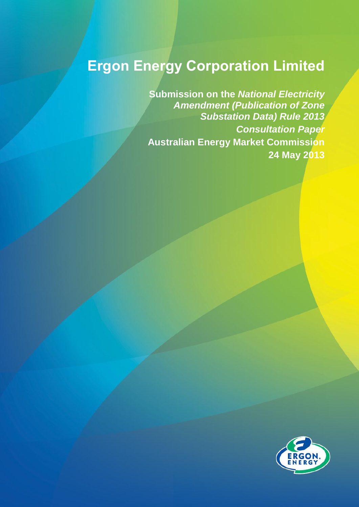## **Ergon Energy Corporation Limited**

**Submission on the** *National Electricity Amendment (Publication of Zone Substation Data) Rule 2013 Consultation Paper* **Australian Energy Market Commission 24 May 2013**

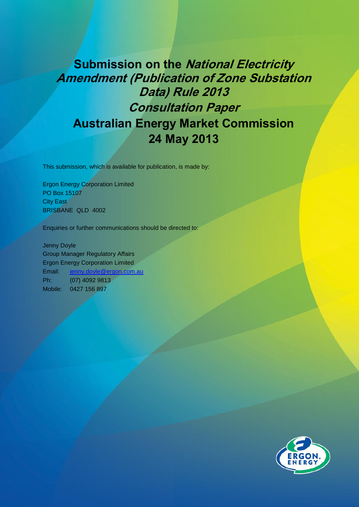## **Submission on the National Electricity Amendment (Publication of Zone Substation Data) Rule 2013 Consultation Paper Australian Energy Market Commission 24 May 2013**

This submission, which is available for publication, is made by:

Ergon Energy Corporation Limited PO Box 15107 **City East** BRISBANE QLD 4002

Enquiries or further communications should be directed to:

Jenny Doyle Group Manager Regulatory Affairs Ergon Energy Corporation Limited Email: [jenny.doyle@ergon.com.au](mailto:jenny.doyle@ergon.com.au) Ph: (07) 4092 9813 Mobile: 0427 156 897

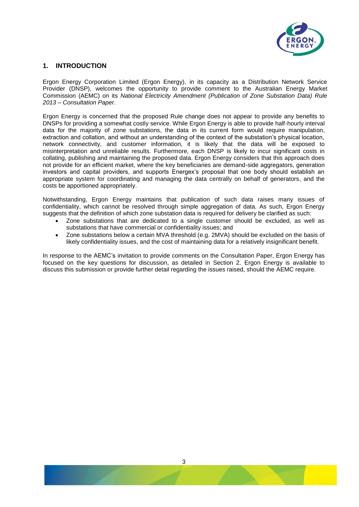

## **1. INTRODUCTION**

Ergon Energy Corporation Limited (Ergon Energy), in its capacity as a Distribution Network Service Provider (DNSP), welcomes the opportunity to provide comment to the Australian Energy Market Commission (AEMC) on its *National Electricity Amendment (Publication of Zone Substation Data) Rule 2013 – Consultation Paper*.

Ergon Energy is concerned that the proposed Rule change does not appear to provide any benefits to DNSPs for providing a somewhat costly service. While Ergon Energy is able to provide half-hourly interval data for the majority of zone substations, the data in its current form would require manipulation, extraction and collation, and without an understanding of the context of the substation's physical location, network connectivity, and customer information, it is likely that the data will be exposed to misinterpretation and unreliable results. Furthermore, each DNSP is likely to incur significant costs in collating, publishing and maintaining the proposed data. Ergon Energy considers that this approach does not provide for an efficient market, where the key beneficiaries are demand-side aggregators, generation investors and capital providers, and supports Energex's proposal that one body should establish an appropriate system for coordinating and managing the data centrally on behalf of generators, and the costs be apportioned appropriately.

Notwithstanding, Ergon Energy maintains that publication of such data raises many issues of confidentiality, which cannot be resolved through simple aggregation of data. As such, Ergon Energy suggests that the definition of which zone substation data is required for delivery be clarified as such:

- Zone substations that are dedicated to a single customer should be excluded, as well as substations that have commercial or confidentiality issues; and
- Zone substations below a certain MVA threshold (e.g. 2MVA) should be excluded on the basis of likely confidentiality issues, and the cost of maintaining data for a relatively insignificant benefit.

In response to the AEMC's invitation to provide comments on the Consultation Paper, Ergon Energy has focused on the key questions for discussion, as detailed in Section 2. Ergon Energy is available to discuss this submission or provide further detail regarding the issues raised, should the AEMC require.

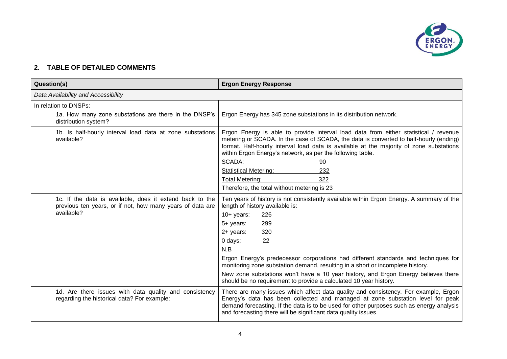

## **2. TABLE OF DETAILED COMMENTS**

| <b>Question(s)</b>                                                                                                                  | <b>Ergon Energy Response</b>                                                                                                                                                                                                                                                                                                                                                                                                                                                                                                                          |
|-------------------------------------------------------------------------------------------------------------------------------------|-------------------------------------------------------------------------------------------------------------------------------------------------------------------------------------------------------------------------------------------------------------------------------------------------------------------------------------------------------------------------------------------------------------------------------------------------------------------------------------------------------------------------------------------------------|
| Data Availability and Accessibility                                                                                                 |                                                                                                                                                                                                                                                                                                                                                                                                                                                                                                                                                       |
| In relation to DNSPs:                                                                                                               |                                                                                                                                                                                                                                                                                                                                                                                                                                                                                                                                                       |
| 1a. How many zone substations are there in the DNSP's<br>distribution system?                                                       | Ergon Energy has 345 zone substations in its distribution network.                                                                                                                                                                                                                                                                                                                                                                                                                                                                                    |
| 1b. Is half-hourly interval load data at zone substations<br>available?                                                             | Ergon Energy is able to provide interval load data from either statistical / revenue<br>metering or SCADA. In the case of SCADA, the data is converted to half-hourly (ending)<br>format. Half-hourly interval load data is available at the majority of zone substations<br>within Ergon Energy's network, as per the following table.<br><b>SCADA:</b><br>90<br><b>Statistical Metering:</b><br>232<br>322<br><b>Total Metering:</b><br>Therefore, the total without metering is 23                                                                 |
| 1c. If the data is available, does it extend back to the<br>previous ten years, or if not, how many years of data are<br>available? | Ten years of history is not consistently available within Ergon Energy. A summary of the<br>length of history available is:<br>$10+$ years:<br>226<br>299<br>5+ years:<br>320<br>2+ years:<br>22<br>0 days:<br>N.B<br>Ergon Energy's predecessor corporations had different standards and techniques for<br>monitoring zone substation demand, resulting in a short or incomplete history.<br>New zone substations won't have a 10 year history, and Ergon Energy believes there<br>should be no requirement to provide a calculated 10 year history. |
| 1d. Are there issues with data quality and consistency<br>regarding the historical data? For example:                               | There are many issues which affect data quality and consistency. For example, Ergon<br>Energy's data has been collected and managed at zone substation level for peak<br>demand forecasting. If the data is to be used for other purposes such as energy analysis<br>and forecasting there will be significant data quality issues.                                                                                                                                                                                                                   |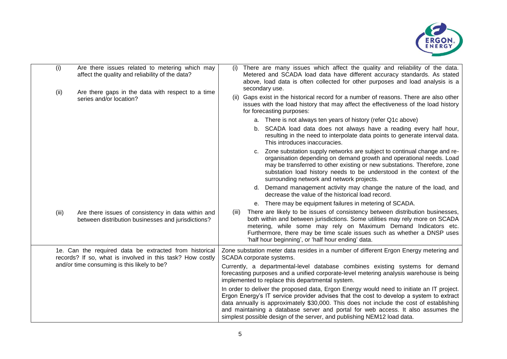

|                                             | (i)                                                                                                                 | Are there issues related to metering which may<br>affect the quality and reliability of the data?                                                                                                                            | (i)                                                                                                               | There are many issues which affect the quality and reliability of the data.<br>Metered and SCADA load data have different accuracy standards. As stated<br>above, load data is often collected for other purposes and load analysis is a                                                                                                                                                                                                       |
|---------------------------------------------|---------------------------------------------------------------------------------------------------------------------|------------------------------------------------------------------------------------------------------------------------------------------------------------------------------------------------------------------------------|-------------------------------------------------------------------------------------------------------------------|------------------------------------------------------------------------------------------------------------------------------------------------------------------------------------------------------------------------------------------------------------------------------------------------------------------------------------------------------------------------------------------------------------------------------------------------|
|                                             | (ii)                                                                                                                | Are there gaps in the data with respect to a time<br>series and/or location?                                                                                                                                                 |                                                                                                                   | secondary use.<br>(ii) Gaps exist in the historical record for a number of reasons. There are also other<br>issues with the load history that may affect the effectiveness of the load history<br>for forecasting purposes:                                                                                                                                                                                                                    |
|                                             |                                                                                                                     |                                                                                                                                                                                                                              |                                                                                                                   | a. There is not always ten years of history (refer Q1c above)                                                                                                                                                                                                                                                                                                                                                                                  |
|                                             |                                                                                                                     |                                                                                                                                                                                                                              |                                                                                                                   | b. SCADA load data does not always have a reading every half hour,<br>resulting in the need to interpolate data points to generate interval data.<br>This introduces inaccuracies.                                                                                                                                                                                                                                                             |
|                                             |                                                                                                                     |                                                                                                                                                                                                                              |                                                                                                                   | Zone substation supply networks are subject to continual change and re-<br>C.<br>organisation depending on demand growth and operational needs. Load<br>may be transferred to other existing or new substations. Therefore, zone<br>substation load history needs to be understood in the context of the<br>surrounding network and network projects.                                                                                          |
|                                             |                                                                                                                     |                                                                                                                                                                                                                              |                                                                                                                   | d. Demand management activity may change the nature of the load, and<br>decrease the value of the historical load record.                                                                                                                                                                                                                                                                                                                      |
|                                             |                                                                                                                     |                                                                                                                                                                                                                              |                                                                                                                   | e. There may be equipment failures in metering of SCADA.                                                                                                                                                                                                                                                                                                                                                                                       |
|                                             | (iii)                                                                                                               | Are there issues of consistency in data within and<br>between distribution businesses and jurisdictions?                                                                                                                     | (iii)                                                                                                             | There are likely to be issues of consistency between distribution businesses,<br>both within and between jurisdictions. Some utilities may rely more on SCADA<br>metering, while some may rely on Maximum Demand Indicators etc.<br>Furthermore, there may be time scale issues such as whether a DNSP uses<br>'half hour beginning', or 'half hour ending' data.                                                                              |
|                                             | 1e. Can the required data be extracted from historical<br>records? If so, what is involved in this task? How costly |                                                                                                                                                                                                                              | Zone substation meter data resides in a number of different Ergon Energy metering and<br>SCADA corporate systems. |                                                                                                                                                                                                                                                                                                                                                                                                                                                |
| and/or time consuming is this likely to be? |                                                                                                                     | Currently, a departmental-level database combines existing systems for demand<br>forecasting purposes and a unified corporate-level metering analysis warehouse is being<br>implemented to replace this departmental system. |                                                                                                                   |                                                                                                                                                                                                                                                                                                                                                                                                                                                |
|                                             |                                                                                                                     |                                                                                                                                                                                                                              |                                                                                                                   | In order to deliver the proposed data, Ergon Energy would need to initiate an IT project.<br>Ergon Energy's IT service provider advises that the cost to develop a system to extract<br>data annually is approximately \$30,000. This does not include the cost of establishing<br>and maintaining a database server and portal for web access. It also assumes the<br>simplest possible design of the server, and publishing NEM12 load data. |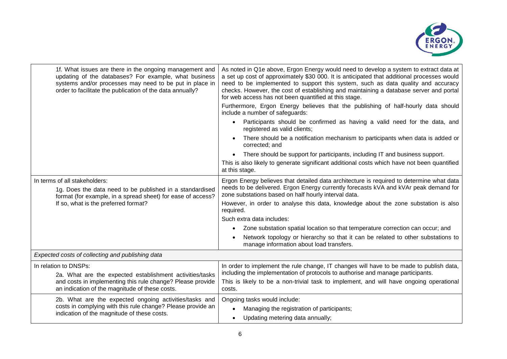

| 1f. What issues are there in the ongoing management and<br>updating of the databases? For example, what business<br>systems and/or processes may need to be put in place in<br>order to facilitate the publication of the data annually? | As noted in Q1e above, Ergon Energy would need to develop a system to extract data at<br>a set up cost of approximately \$30 000. It is anticipated that additional processes would<br>need to be implemented to support this system, such as data quality and accuracy<br>checks. However, the cost of establishing and maintaining a database server and portal<br>for web access has not been quantified at this stage. |
|------------------------------------------------------------------------------------------------------------------------------------------------------------------------------------------------------------------------------------------|----------------------------------------------------------------------------------------------------------------------------------------------------------------------------------------------------------------------------------------------------------------------------------------------------------------------------------------------------------------------------------------------------------------------------|
|                                                                                                                                                                                                                                          | Furthermore, Ergon Energy believes that the publishing of half-hourly data should<br>include a number of safeguards:                                                                                                                                                                                                                                                                                                       |
|                                                                                                                                                                                                                                          | Participants should be confirmed as having a valid need for the data, and<br>registered as valid clients;                                                                                                                                                                                                                                                                                                                  |
|                                                                                                                                                                                                                                          | There should be a notification mechanism to participants when data is added or<br>corrected; and                                                                                                                                                                                                                                                                                                                           |
|                                                                                                                                                                                                                                          | There should be support for participants, including IT and business support.                                                                                                                                                                                                                                                                                                                                               |
|                                                                                                                                                                                                                                          | This is also likely to generate significant additional costs which have not been quantified<br>at this stage.                                                                                                                                                                                                                                                                                                              |
| In terms of all stakeholders:                                                                                                                                                                                                            | Ergon Energy believes that detailed data architecture is required to determine what data                                                                                                                                                                                                                                                                                                                                   |
| 1g. Does the data need to be published in a standardised<br>format (for example, in a spread sheet) for ease of access?                                                                                                                  | needs to be delivered. Ergon Energy currently forecasts kVA and kVAr peak demand for<br>zone substations based on half hourly interval data.                                                                                                                                                                                                                                                                               |
| If so, what is the preferred format?                                                                                                                                                                                                     | However, in order to analyse this data, knowledge about the zone substation is also<br>required.                                                                                                                                                                                                                                                                                                                           |
|                                                                                                                                                                                                                                          | Such extra data includes:                                                                                                                                                                                                                                                                                                                                                                                                  |
|                                                                                                                                                                                                                                          | Zone substation spatial location so that temperature correction can occur; and<br>$\bullet$                                                                                                                                                                                                                                                                                                                                |
|                                                                                                                                                                                                                                          | Network topology or hierarchy so that it can be related to other substations to<br>manage information about load transfers.                                                                                                                                                                                                                                                                                                |
| Expected costs of collecting and publishing data                                                                                                                                                                                         |                                                                                                                                                                                                                                                                                                                                                                                                                            |
| In relation to DNSPs:<br>2a. What are the expected establishment activities/tasks                                                                                                                                                        | In order to implement the rule change, IT changes will have to be made to publish data,<br>including the implementation of protocols to authorise and manage participants.                                                                                                                                                                                                                                                 |
| and costs in implementing this rule change? Please provide<br>an indication of the magnitude of these costs.                                                                                                                             | This is likely to be a non-trivial task to implement, and will have ongoing operational<br>costs.                                                                                                                                                                                                                                                                                                                          |
| 2b. What are the expected ongoing activities/tasks and                                                                                                                                                                                   | Ongoing tasks would include:                                                                                                                                                                                                                                                                                                                                                                                               |
| costs in complying with this rule change? Please provide an                                                                                                                                                                              | Managing the registration of participants;                                                                                                                                                                                                                                                                                                                                                                                 |
| indication of the magnitude of these costs.                                                                                                                                                                                              | Updating metering data annually;                                                                                                                                                                                                                                                                                                                                                                                           |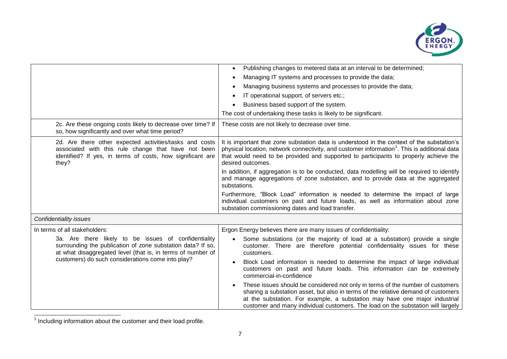

|                                                                                                                                                                                       | Publishing changes to metered data at an interval to be determined;<br>$\bullet$                                                                                                                                                                                                                                                     |  |
|---------------------------------------------------------------------------------------------------------------------------------------------------------------------------------------|--------------------------------------------------------------------------------------------------------------------------------------------------------------------------------------------------------------------------------------------------------------------------------------------------------------------------------------|--|
|                                                                                                                                                                                       | Managing IT systems and processes to provide the data;                                                                                                                                                                                                                                                                               |  |
|                                                                                                                                                                                       | Managing business systems and processes to provide the data;                                                                                                                                                                                                                                                                         |  |
|                                                                                                                                                                                       | IT operational support, of servers etc.;                                                                                                                                                                                                                                                                                             |  |
|                                                                                                                                                                                       | Business based support of the system.<br>$\bullet$                                                                                                                                                                                                                                                                                   |  |
|                                                                                                                                                                                       | The cost of undertaking these tasks is likely to be significant.                                                                                                                                                                                                                                                                     |  |
| 2c. Are these ongoing costs likely to decrease over time? If<br>so, how significantly and over what time period?                                                                      | These costs are not likely to decrease over time.                                                                                                                                                                                                                                                                                    |  |
| 2d. Are there other expected activities/tasks and costs<br>associated with this rule change that have not been<br>identified? If yes, in terms of costs, how significant are<br>they? | It is important that zone substation data is understood in the context of the substation's<br>physical location, network connectivity, and customer information <sup>1</sup> . This is additional data<br>that would need to be provided and supported to participants to properly achieve the<br>desired outcomes.                  |  |
|                                                                                                                                                                                       | In addition, if aggregation is to be conducted, data modelling will be required to identify<br>and manage aggregations of zone substation, and to provide data at the aggregated<br>substations.                                                                                                                                     |  |
|                                                                                                                                                                                       | Furthermore, "Block Load" information is needed to determine the impact of large<br>individual customers on past and future loads, as well as information about zone<br>substation commissioning dates and load transfer.                                                                                                            |  |
| Confidentiality issues                                                                                                                                                                |                                                                                                                                                                                                                                                                                                                                      |  |
| In terms of all stakeholders:                                                                                                                                                         | Ergon Energy believes there are many issues of confidentiality:                                                                                                                                                                                                                                                                      |  |
| 3a. Are there likely to be issues of confidentiality<br>surrounding the publication of zone substation data? If so,<br>at what disaggregated level (that is, in terms of number of    | Some substations (or the majority of load at a substation) provide a single<br>$\bullet$<br>customer. There are therefore potential confidentiality issues for these<br>customers.                                                                                                                                                   |  |
| customers) do such considerations come into play?                                                                                                                                     | Block Load information is needed to determine the impact of large individual<br>customers on past and future loads. This information can be extremely<br>commercial-in-confidence                                                                                                                                                    |  |
|                                                                                                                                                                                       | These issues should be considered not only in terms of the number of customers<br>sharing a substation asset, but also in terms of the relative demand of customers<br>at the substation. For example, a substation may have one major industrial<br>customer and many individual customers. The load on the substation will largely |  |

 1 Including information about the customer and their load profile. $\overline{\phantom{0}}$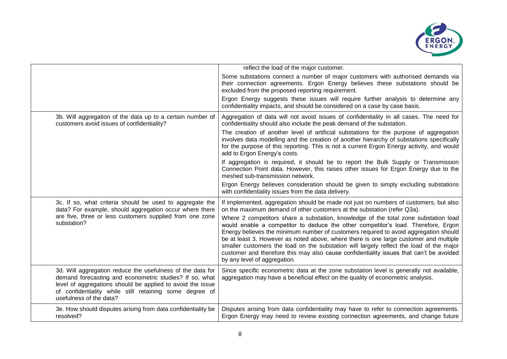

|                                                                                                                                                                                                                                                                           | reflect the load of the major customer.                                                                                                                                                                                                                                                                                                                                                                                                                                                                                                                                         |
|---------------------------------------------------------------------------------------------------------------------------------------------------------------------------------------------------------------------------------------------------------------------------|---------------------------------------------------------------------------------------------------------------------------------------------------------------------------------------------------------------------------------------------------------------------------------------------------------------------------------------------------------------------------------------------------------------------------------------------------------------------------------------------------------------------------------------------------------------------------------|
|                                                                                                                                                                                                                                                                           | Some substations connect a number of major customers with authorised demands via<br>their connection agreements. Ergon Energy believes these substations should be<br>excluded from the proposed reporting requirement.                                                                                                                                                                                                                                                                                                                                                         |
|                                                                                                                                                                                                                                                                           | Ergon Energy suggests these issues will require further analysis to determine any<br>confidentiality impacts, and should be considered on a case by case basis.                                                                                                                                                                                                                                                                                                                                                                                                                 |
| 3b. Will aggregation of the data up to a certain number of<br>customers avoid issues of confidentiality?                                                                                                                                                                  | Aggregation of data will not avoid issues of confidentiality in all cases. The need for<br>confidentiality should also include the peak demand of the substation.                                                                                                                                                                                                                                                                                                                                                                                                               |
|                                                                                                                                                                                                                                                                           | The creation of another level of artificial substations for the purpose of aggregation<br>involves data modelling and the creation of another hierarchy of substations specifically<br>for the purpose of this reporting. This is not a current Ergon Energy activity, and would<br>add to Ergon Energy's costs.                                                                                                                                                                                                                                                                |
|                                                                                                                                                                                                                                                                           | If aggregation is required, it should be to report the Bulk Supply or Transmission<br>Connection Point data. However, this raises other issues for Ergon Energy due to the<br>meshed sub-transmission network.                                                                                                                                                                                                                                                                                                                                                                  |
|                                                                                                                                                                                                                                                                           | Ergon Energy believes consideration should be given to simply excluding substations<br>with confidentiality issues from the data delivery.                                                                                                                                                                                                                                                                                                                                                                                                                                      |
| 3c. If so, what criteria should be used to aggregate the<br>data? For example, should aggregation occur where there                                                                                                                                                       | If implemented, aggregation should be made not just on numbers of customers, but also<br>on the maximum demand of other customers at the substation (refer Q3a).                                                                                                                                                                                                                                                                                                                                                                                                                |
| are five, three or less customers supplied from one zone<br>substation?                                                                                                                                                                                                   | Where 2 competitors share a substation, knowledge of the total zone substation load<br>would enable a competitor to deduce the other competitor's load. Therefore, Ergon<br>Energy believes the minimum number of customers required to avoid aggregation should<br>be at least 3. However as noted above, where there is one large customer and multiple<br>smaller customers the load on the substation will largely reflect the load of the major<br>customer and therefore this may also cause confidentiality issues that can't be avoided<br>by any level of aggregation. |
| 3d. Will aggregation reduce the usefulness of the data for<br>demand forecasting and econometric studies? If so, what<br>level of aggregations should be applied to avoid the issue<br>of confidentiality while still retaining some degree of<br>usefulness of the data? | Since specific econometric data at the zone substation level is generally not available,<br>aggregation may have a beneficial effect on the quality of econometric analysis.                                                                                                                                                                                                                                                                                                                                                                                                    |
| 3e. How should disputes arising from data confidentiality be<br>resolved?                                                                                                                                                                                                 | Disputes arising from data confidentiality may have to refer to connection agreements.<br>Ergon Energy may need to review existing connection agreements, and change future                                                                                                                                                                                                                                                                                                                                                                                                     |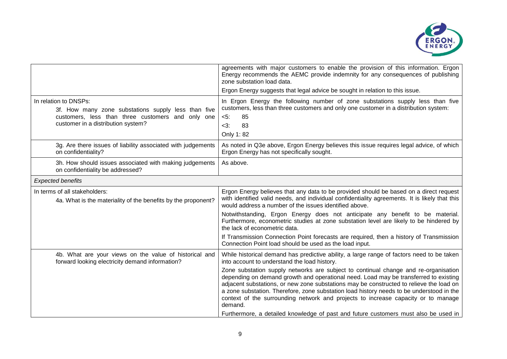

|                                                                                                                                                                         | agreements with major customers to enable the provision of this information. Ergon<br>Energy recommends the AEMC provide indemnity for any consequences of publishing<br>zone substation load data.                                                                                                                                                                                                                                                                |
|-------------------------------------------------------------------------------------------------------------------------------------------------------------------------|--------------------------------------------------------------------------------------------------------------------------------------------------------------------------------------------------------------------------------------------------------------------------------------------------------------------------------------------------------------------------------------------------------------------------------------------------------------------|
|                                                                                                                                                                         | Ergon Energy suggests that legal advice be sought in relation to this issue.                                                                                                                                                                                                                                                                                                                                                                                       |
| In relation to DNSPs:<br>3f. How many zone substations supply less than five<br>customers, less than three customers and only one<br>customer in a distribution system? | In Ergon Energy the following number of zone substations supply less than five<br>customers, less than three customers and only one customer in a distribution system:<br>$5$ :<br>85<br>83<br>$<$ 3:<br>Only 1:82                                                                                                                                                                                                                                                 |
| 3g. Are there issues of liability associated with judgements<br>on confidentiality?                                                                                     | As noted in Q3e above, Ergon Energy believes this issue requires legal advice, of which<br>Ergon Energy has not specifically sought.                                                                                                                                                                                                                                                                                                                               |
| 3h. How should issues associated with making judgements<br>on confidentiality be addressed?                                                                             | As above.                                                                                                                                                                                                                                                                                                                                                                                                                                                          |
| <b>Expected benefits</b>                                                                                                                                                |                                                                                                                                                                                                                                                                                                                                                                                                                                                                    |
| In terms of all stakeholders:<br>4a. What is the materiality of the benefits by the proponent?                                                                          | Ergon Energy believes that any data to be provided should be based on a direct request<br>with identified valid needs, and individual confidentiality agreements. It is likely that this<br>would address a number of the issues identified above.                                                                                                                                                                                                                 |
|                                                                                                                                                                         | Notwithstanding, Ergon Energy does not anticipate any benefit to be material.<br>Furthermore, econometric studies at zone substation level are likely to be hindered by<br>the lack of econometric data.                                                                                                                                                                                                                                                           |
|                                                                                                                                                                         | If Transmission Connection Point forecasts are required, then a history of Transmission<br>Connection Point load should be used as the load input.                                                                                                                                                                                                                                                                                                                 |
| 4b. What are your views on the value of historical and<br>forward looking electricity demand information?                                                               | While historical demand has predictive ability, a large range of factors need to be taken<br>into account to understand the load history.                                                                                                                                                                                                                                                                                                                          |
|                                                                                                                                                                         | Zone substation supply networks are subject to continual change and re-organisation<br>depending on demand growth and operational need. Load may be transferred to existing<br>adjacent substations, or new zone substations may be constructed to relieve the load on<br>a zone substation. Therefore, zone substation load history needs to be understood in the<br>context of the surrounding network and projects to increase capacity or to manage<br>demand. |
|                                                                                                                                                                         | Furthermore, a detailed knowledge of past and future customers must also be used in                                                                                                                                                                                                                                                                                                                                                                                |